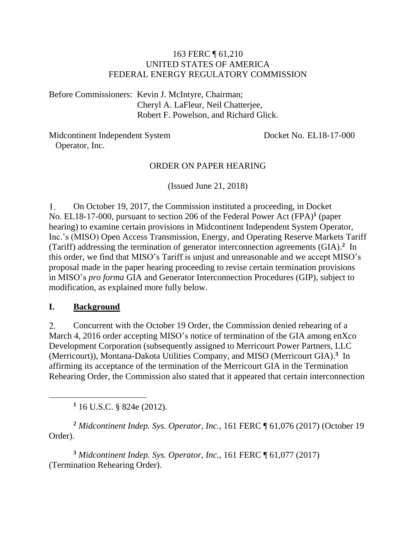#### 163 FERC ¶ 61,210 UNITED STATES OF AMERICA FEDERAL ENERGY REGULATORY COMMISSION

Before Commissioners: Kevin J. McIntyre, Chairman; Cheryl A. LaFleur, Neil Chatterjee, Robert F. Powelson, and Richard Glick.

Midcontinent Independent System Operator, Inc.

Docket No. EL18-17-000

#### ORDER ON PAPER HEARING

(Issued June 21, 2018)

1. On October 19, 2017, the Commission instituted a proceeding, in Docket No. EL18-17-000, pursuant to section 206 of the Federal Power Act (FPA)<sup>1</sup> (paper hearing) to examine certain provisions in Midcontinent Independent System Operator, Inc.'s (MISO) Open Access Transmission, Energy, and Operating Reserve Markets Tariff (Tariff) addressing the termination of generator interconnection agreements (GIA). **2** In this order, we find that MISO's Tariff is unjust and unreasonable and we accept MISO's proposal made in the paper hearing proceeding to revise certain termination provisions in MISO's *pro forma* GIA and Generator Interconnection Procedures (GIP), subject to modification, as explained more fully below.

#### **I. Background**

 $2.$ Concurrent with the October 19 Order, the Commission denied rehearing of a March 4, 2016 order accepting MISO's notice of termination of the GIA among enXco Development Corporation (subsequently assigned to Merricourt Power Partners, LLC (Merricourt)), Montana-Dakota Utilities Company, and MISO (Merricourt GIA). **3** In affirming its acceptance of the termination of the Merricourt GIA in the Termination Rehearing Order, the Commission also stated that it appeared that certain interconnection

**<sup>1</sup>** 16 U.S.C. § 824e (2012).

**<sup>2</sup>** *Midcontinent Indep. Sys. Operator, Inc.,* 161 FERC ¶ 61,076 (2017) (October 19 Order).

**<sup>3</sup>** *Midcontinent Indep. Sys. Operator, Inc.,* 161 FERC ¶ 61,077 (2017) (Termination Rehearing Order).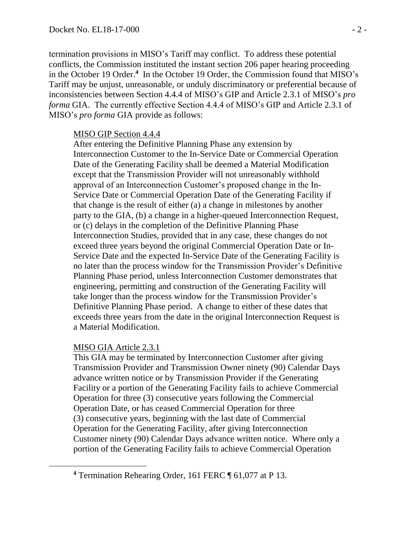termination provisions in MISO's Tariff may conflict. To address these potential conflicts, the Commission instituted the instant section 206 paper hearing proceeding in the October 19 Order.**<sup>4</sup>** In the October 19 Order, the Commission found that MISO's Tariff may be unjust, unreasonable, or unduly discriminatory or preferential because of inconsistencies between Section 4.4.4 of MISO's GIP and Article 2.3.1 of MISO's *pro forma* GIA. The currently effective Section 4.4.4 of MISO's GIP and Article 2.3.1 of MISO's *pro forma* GIA provide as follows:

#### MISO GIP Section 4.4.4

After entering the Definitive Planning Phase any extension by Interconnection Customer to the In-Service Date or Commercial Operation Date of the Generating Facility shall be deemed a Material Modification except that the Transmission Provider will not unreasonably withhold approval of an Interconnection Customer's proposed change in the In-Service Date or Commercial Operation Date of the Generating Facility if that change is the result of either (a) a change in milestones by another party to the GIA, (b) a change in a higher-queued Interconnection Request, or (c) delays in the completion of the Definitive Planning Phase Interconnection Studies, provided that in any case, these changes do not exceed three years beyond the original Commercial Operation Date or In-Service Date and the expected In-Service Date of the Generating Facility is no later than the process window for the Transmission Provider's Definitive Planning Phase period, unless Interconnection Customer demonstrates that engineering, permitting and construction of the Generating Facility will take longer than the process window for the Transmission Provider's Definitive Planning Phase period. A change to either of these dates that exceeds three years from the date in the original Interconnection Request is a Material Modification.

#### MISO GIA Article 2.3.1

This GIA may be terminated by Interconnection Customer after giving Transmission Provider and Transmission Owner ninety (90) Calendar Days advance written notice or by Transmission Provider if the Generating Facility or a portion of the Generating Facility fails to achieve Commercial Operation for three (3) consecutive years following the Commercial Operation Date, or has ceased Commercial Operation for three (3) consecutive years, beginning with the last date of Commercial Operation for the Generating Facility, after giving Interconnection Customer ninety (90) Calendar Days advance written notice. Where only a portion of the Generating Facility fails to achieve Commercial Operation

**<sup>4</sup>** Termination Rehearing Order, 161 FERC ¶ 61,077 at P 13.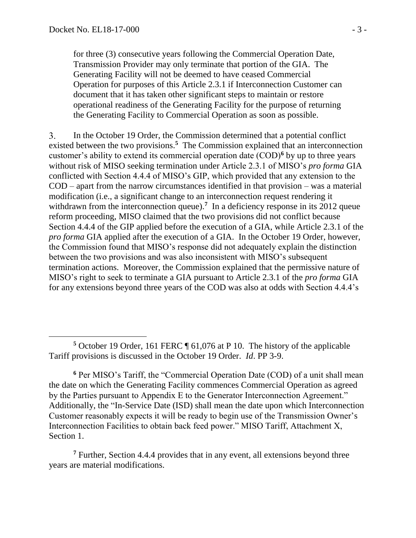for three (3) consecutive years following the Commercial Operation Date, Transmission Provider may only terminate that portion of the GIA. The Generating Facility will not be deemed to have ceased Commercial Operation for purposes of this Article 2.3.1 if Interconnection Customer can document that it has taken other significant steps to maintain or restore operational readiness of the Generating Facility for the purpose of returning the Generating Facility to Commercial Operation as soon as possible.

 $3<sub>1</sub>$ In the October 19 Order, the Commission determined that a potential conflict existed between the two provisions.<sup>5</sup> The Commission explained that an interconnection customer's ability to extend its commercial operation date (COD)**<sup>6</sup>** by up to three years without risk of MISO seeking termination under Article 2.3.1 of MISO's *pro forma* GIA conflicted with Section 4.4.4 of MISO's GIP, which provided that any extension to the COD – apart from the narrow circumstances identified in that provision – was a material modification (i.e., a significant change to an interconnection request rendering it withdrawn from the interconnection queue).<sup>7</sup> In a deficiency response in its 2012 queue reform proceeding, MISO claimed that the two provisions did not conflict because Section 4.4.4 of the GIP applied before the execution of a GIA, while Article 2.3.1 of the *pro forma* GIA applied after the execution of a GIA. In the October 19 Order, however, the Commission found that MISO's response did not adequately explain the distinction between the two provisions and was also inconsistent with MISO's subsequent termination actions. Moreover, the Commission explained that the permissive nature of MISO's right to seek to terminate a GIA pursuant to Article 2.3.1 of the *pro forma* GIA for any extensions beyond three years of the COD was also at odds with Section 4.4.4's

**<sup>7</sup>** Further, Section 4.4.4 provides that in any event, all extensions beyond three years are material modifications.

**<sup>5</sup>** October 19 Order, 161 FERC ¶ 61,076 at P 10. The history of the applicable Tariff provisions is discussed in the October 19 Order. *Id*. PP 3-9.

**<sup>6</sup>** Per MISO's Tariff, the "Commercial Operation Date (COD) of a unit shall mean the date on which the Generating Facility commences Commercial Operation as agreed by the Parties pursuant to Appendix E to the Generator Interconnection Agreement." Additionally, the "In-Service Date (ISD) shall mean the date upon which Interconnection Customer reasonably expects it will be ready to begin use of the Transmission Owner's Interconnection Facilities to obtain back feed power." MISO Tariff, Attachment X, Section 1.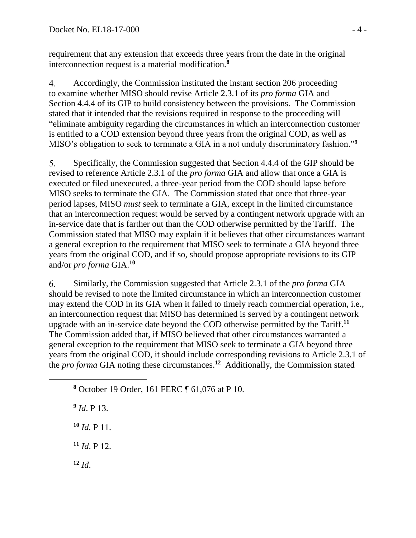requirement that any extension that exceeds three years from the date in the original interconnection request is a material modification.**<sup>8</sup>**

 $4.$ Accordingly, the Commission instituted the instant section 206 proceeding to examine whether MISO should revise Article 2.3.1 of its *pro forma* GIA and Section 4.4.4 of its GIP to build consistency between the provisions. The Commission stated that it intended that the revisions required in response to the proceeding will "eliminate ambiguity regarding the circumstances in which an interconnection customer is entitled to a COD extension beyond three years from the original COD, as well as MISO's obligation to seek to terminate a GIA in a not unduly discriminatory fashion."**<sup>9</sup>**

5. Specifically, the Commission suggested that Section 4.4.4 of the GIP should be revised to reference Article 2.3.1 of the *pro forma* GIA and allow that once a GIA is executed or filed unexecuted, a three-year period from the COD should lapse before MISO seeks to terminate the GIA. The Commission stated that once that three-year period lapses, MISO *must* seek to terminate a GIA, except in the limited circumstance that an interconnection request would be served by a contingent network upgrade with an in-service date that is farther out than the COD otherwise permitted by the Tariff. The Commission stated that MISO may explain if it believes that other circumstances warrant a general exception to the requirement that MISO seek to terminate a GIA beyond three years from the original COD, and if so, should propose appropriate revisions to its GIP and/or *pro forma* GIA. **10**

6. Similarly, the Commission suggested that Article 2.3.1 of the *pro forma* GIA should be revised to note the limited circumstance in which an interconnection customer may extend the COD in its GIA when it failed to timely reach commercial operation, i.e., an interconnection request that MISO has determined is served by a contingent network upgrade with an in-service date beyond the COD otherwise permitted by the Tariff.**<sup>11</sup>** The Commission added that, if MISO believed that other circumstances warranted a general exception to the requirement that MISO seek to terminate a GIA beyond three years from the original COD, it should include corresponding revisions to Article 2.3.1 of the *pro forma* GIA noting these circumstances.**<sup>12</sup>** Additionally, the Commission stated

**9** *Id*. P 13.

- **<sup>10</sup>** *Id.* P 11.
- $11$  *Id.* P 12.
- **<sup>12</sup>** *Id*.

**<sup>8</sup>** October 19 Order, 161 FERC ¶ 61,076 at P 10.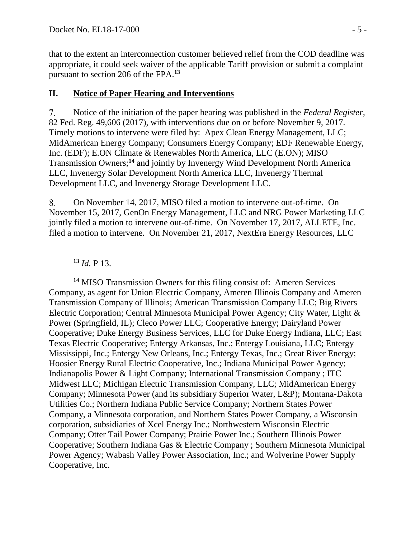that to the extent an interconnection customer believed relief from the COD deadline was appropriate, it could seek waiver of the applicable Tariff provision or submit a complaint pursuant to section 206 of the FPA. **13**

### **II. Notice of Paper Hearing and Interventions**

7. Notice of the initiation of the paper hearing was published in the *Federal Register*, 82 Fed. Reg. 49,606 (2017), with interventions due on or before November 9, 2017. Timely motions to intervene were filed by: Apex Clean Energy Management, LLC; MidAmerican Energy Company; Consumers Energy Company; EDF Renewable Energy, Inc. (EDF); E.ON Climate & Renewables North America, LLC (E.ON); MISO Transmission Owners; **<sup>14</sup>** and jointly by Invenergy Wind Development North America LLC, Invenergy Solar Development North America LLC, Invenergy Thermal Development LLC, and Invenergy Storage Development LLC.

8. On November 14, 2017, MISO filed a motion to intervene out-of-time. On November 15, 2017, GenOn Energy Management, LLC and NRG Power Marketing LLC jointly filed a motion to intervene out-of-time. On November 17, 2017, ALLETE, Inc. filed a motion to intervene. On November 21, 2017, NextEra Energy Resources, LLC

**<sup>13</sup>** *Id.* P 13.

 $\overline{a}$ 

**<sup>14</sup>** MISO Transmission Owners for this filing consist of: Ameren Services Company, as agent for Union Electric Company, Ameren Illinois Company and Ameren Transmission Company of Illinois; American Transmission Company LLC; Big Rivers Electric Corporation; Central Minnesota Municipal Power Agency; City Water, Light & Power (Springfield, IL); Cleco Power LLC; Cooperative Energy; Dairyland Power Cooperative; Duke Energy Business Services, LLC for Duke Energy Indiana, LLC; East Texas Electric Cooperative; Entergy Arkansas, Inc.; Entergy Louisiana, LLC; Entergy Mississippi, Inc.; Entergy New Orleans, Inc.; Entergy Texas, Inc.; Great River Energy; Hoosier Energy Rural Electric Cooperative, Inc.; Indiana Municipal Power Agency; Indianapolis Power & Light Company; International Transmission Company ; ITC Midwest LLC; Michigan Electric Transmission Company, LLC; MidAmerican Energy Company; Minnesota Power (and its subsidiary Superior Water, L&P); Montana-Dakota Utilities Co.; Northern Indiana Public Service Company; Northern States Power Company, a Minnesota corporation, and Northern States Power Company, a Wisconsin corporation, subsidiaries of Xcel Energy Inc.; Northwestern Wisconsin Electric Company; Otter Tail Power Company; Prairie Power Inc.; Southern Illinois Power Cooperative; Southern Indiana Gas & Electric Company ; Southern Minnesota Municipal Power Agency; Wabash Valley Power Association, Inc.; and Wolverine Power Supply Cooperative, Inc.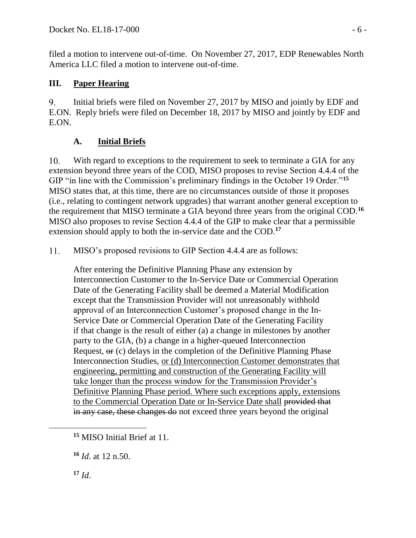filed a motion to intervene out-of-time. On November 27, 2017, EDP Renewables North America LLC filed a motion to intervene out-of-time.

### **III. Paper Hearing**

9. Initial briefs were filed on November 27, 2017 by MISO and jointly by EDF and E.ON. Reply briefs were filed on December 18, 2017 by MISO and jointly by EDF and E.ON.

# **A. Initial Briefs**

10. With regard to exceptions to the requirement to seek to terminate a GIA for any extension beyond three years of the COD, MISO proposes to revise Section 4.4.4 of the GIP "in line with the Commission's preliminary findings in the October 19 Order."**<sup>15</sup>** MISO states that, at this time, there are no circumstances outside of those it proposes (i.e., relating to contingent network upgrades) that warrant another general exception to the requirement that MISO terminate a GIA beyond three years from the original COD.**<sup>16</sup>** MISO also proposes to revise Section 4.4.4 of the GIP to make clear that a permissible extension should apply to both the in-service date and the COD.**<sup>17</sup>**

11. MISO's proposed revisions to GIP Section 4.4.4 are as follows:

After entering the Definitive Planning Phase any extension by Interconnection Customer to the In-Service Date or Commercial Operation Date of the Generating Facility shall be deemed a Material Modification except that the Transmission Provider will not unreasonably withhold approval of an Interconnection Customer's proposed change in the In-Service Date or Commercial Operation Date of the Generating Facility if that change is the result of either (a) a change in milestones by another party to the GIA, (b) a change in a higher-queued Interconnection Request, or (c) delays in the completion of the Definitive Planning Phase Interconnection Studies, or (d) Interconnection Customer demonstrates that engineering, permitting and construction of the Generating Facility will take longer than the process window for the Transmission Provider's Definitive Planning Phase period. Where such exceptions apply, extensions to the Commercial Operation Date or In-Service Date shall provided that in any case, these changes do not exceed three years beyond the original

**<sup>16</sup>** *Id*. at 12 n.50.

 $17$  *Id.* 

**<sup>15</sup>** MISO Initial Brief at 11.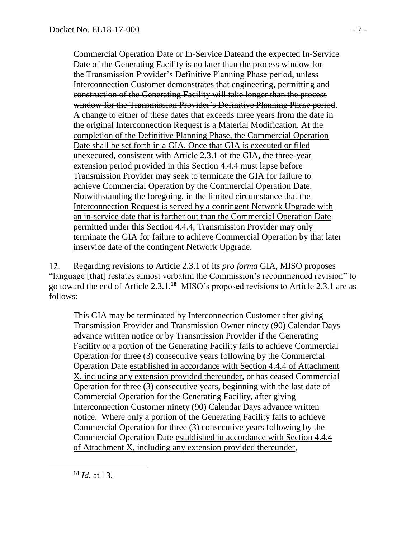Commercial Operation Date or In-Service Dateand the expected In-Service Date of the Generating Facility is no later than the process window for the Transmission Provider's Definitive Planning Phase period, unless Interconnection Customer demonstrates that engineering, permitting and construction of the Generating Facility will take longer than the process window for the Transmission Provider's Definitive Planning Phase period. A change to either of these dates that exceeds three years from the date in the original Interconnection Request is a Material Modification. At the completion of the Definitive Planning Phase, the Commercial Operation Date shall be set forth in a GIA. Once that GIA is executed or filed unexecuted, consistent with Article 2.3.1 of the GIA, the three-year extension period provided in this Section 4.4.4 must lapse before Transmission Provider may seek to terminate the GIA for failure to achieve Commercial Operation by the Commercial Operation Date. Notwithstanding the foregoing, in the limited circumstance that the Interconnection Request is served by a contingent Network Upgrade with an in-service date that is farther out than the Commercial Operation Date permitted under this Section 4.4.4, Transmission Provider may only terminate the GIA for failure to achieve Commercial Operation by that later inservice date of the contingent Network Upgrade.

 $12.$ Regarding revisions to Article 2.3.1 of its *pro forma* GIA, MISO proposes "language [that] restates almost verbatim the Commission's recommended revision" to go toward the end of Article 2.3.1.**<sup>18</sup>** MISO's proposed revisions to Article 2.3.1 are as follows:

This GIA may be terminated by Interconnection Customer after giving Transmission Provider and Transmission Owner ninety (90) Calendar Days advance written notice or by Transmission Provider if the Generating Facility or a portion of the Generating Facility fails to achieve Commercial Operation for three (3) consecutive years following by the Commercial Operation Date established in accordance with Section 4.4.4 of Attachment X, including any extension provided thereunder, or has ceased Commercial Operation for three (3) consecutive years, beginning with the last date of Commercial Operation for the Generating Facility, after giving Interconnection Customer ninety (90) Calendar Days advance written notice. Where only a portion of the Generating Facility fails to achieve Commercial Operation for three (3) consecutive years following by the Commercial Operation Date established in accordance with Section 4.4.4 of Attachment X, including any extension provided thereunder,

**<sup>18</sup>** *Id.* at 13.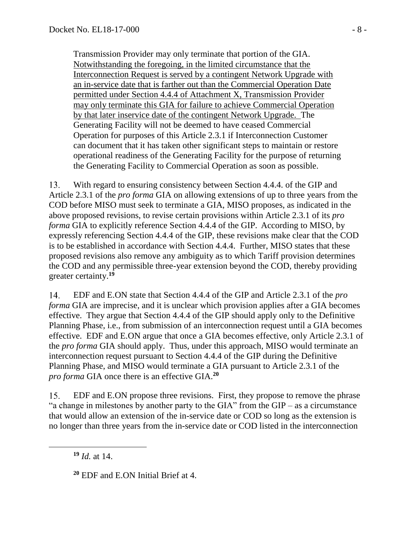Transmission Provider may only terminate that portion of the GIA. Notwithstanding the foregoing, in the limited circumstance that the Interconnection Request is served by a contingent Network Upgrade with an in-service date that is farther out than the Commercial Operation Date permitted under Section 4.4.4 of Attachment X, Transmission Provider may only terminate this GIA for failure to achieve Commercial Operation by that later inservice date of the contingent Network Upgrade. The Generating Facility will not be deemed to have ceased Commercial Operation for purposes of this Article 2.3.1 if Interconnection Customer can document that it has taken other significant steps to maintain or restore operational readiness of the Generating Facility for the purpose of returning the Generating Facility to Commercial Operation as soon as possible.

With regard to ensuring consistency between Section 4.4.4. of the GIP and 13. Article 2.3.1 of the *pro forma* GIA on allowing extensions of up to three years from the COD before MISO must seek to terminate a GIA, MISO proposes, as indicated in the above proposed revisions, to revise certain provisions within Article 2.3.1 of its *pro forma* GIA to explicitly reference Section 4.4.4 of the GIP. According to MISO, by expressly referencing Section 4.4.4 of the GIP, these revisions make clear that the COD is to be established in accordance with Section 4.4.4. Further, MISO states that these proposed revisions also remove any ambiguity as to which Tariff provision determines the COD and any permissible three-year extension beyond the COD, thereby providing greater certainty.**<sup>19</sup>**

14. EDF and E.ON state that Section 4.4.4 of the GIP and Article 2.3.1 of the *pro forma* GIA are imprecise, and it is unclear which provision applies after a GIA becomes effective. They argue that Section 4.4.4 of the GIP should apply only to the Definitive Planning Phase, i.e., from submission of an interconnection request until a GIA becomes effective. EDF and E.ON argue that once a GIA becomes effective, only Article 2.3.1 of the *pro forma* GIA should apply. Thus, under this approach, MISO would terminate an interconnection request pursuant to Section 4.4.4 of the GIP during the Definitive Planning Phase, and MISO would terminate a GIA pursuant to Article 2.3.1 of the *pro forma* GIA once there is an effective GIA.**<sup>20</sup>**

15. EDF and E.ON propose three revisions. First, they propose to remove the phrase "a change in milestones by another party to the GIA" from the GIP – as a circumstance that would allow an extension of the in-service date or COD so long as the extension is no longer than three years from the in-service date or COD listed in the interconnection

**<sup>19</sup>** *Id.* at 14.

**<sup>20</sup>** EDF and E.ON Initial Brief at 4.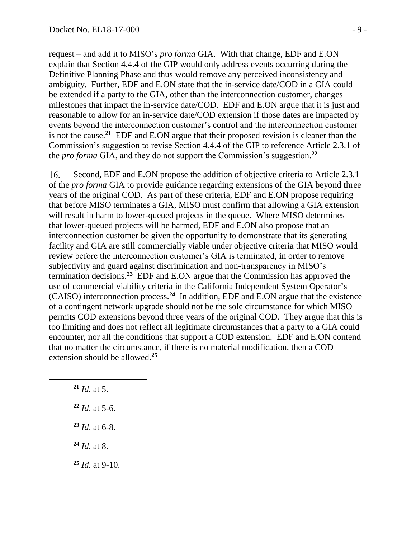request – and add it to MISO's *pro forma* GIA. With that change, EDF and E.ON explain that Section 4.4.4 of the GIP would only address events occurring during the Definitive Planning Phase and thus would remove any perceived inconsistency and ambiguity. Further, EDF and E.ON state that the in-service date/COD in a GIA could be extended if a party to the GIA, other than the interconnection customer, changes milestones that impact the in-service date/COD. EDF and E.ON argue that it is just and reasonable to allow for an in-service date/COD extension if those dates are impacted by events beyond the interconnection customer's control and the interconnection customer is not the cause.**<sup>21</sup>** EDF and E.ON argue that their proposed revision is cleaner than the Commission's suggestion to revise Section 4.4.4 of the GIP to reference Article 2.3.1 of the *pro forma* GIA, and they do not support the Commission's suggestion.**<sup>22</sup>**

Second, EDF and E.ON propose the addition of objective criteria to Article 2.3.1 16. of the *pro forma* GIA to provide guidance regarding extensions of the GIA beyond three years of the original COD. As part of these criteria, EDF and E.ON propose requiring that before MISO terminates a GIA, MISO must confirm that allowing a GIA extension will result in harm to lower-queued projects in the queue. Where MISO determines that lower-queued projects will be harmed, EDF and E.ON also propose that an interconnection customer be given the opportunity to demonstrate that its generating facility and GIA are still commercially viable under objective criteria that MISO would review before the interconnection customer's GIA is terminated, in order to remove subjectivity and guard against discrimination and non-transparency in MISO's termination decisions.**<sup>23</sup>** EDF and E.ON argue that the Commission has approved the use of commercial viability criteria in the California Independent System Operator's (CAISO) interconnection process.**<sup>24</sup>** In addition, EDF and E.ON argue that the existence of a contingent network upgrade should not be the sole circumstance for which MISO permits COD extensions beyond three years of the original COD. They argue that this is too limiting and does not reflect all legitimate circumstances that a party to a GIA could encounter, nor all the conditions that support a COD extension. EDF and E.ON contend that no matter the circumstance, if there is no material modification, then a COD extension should be allowed.**<sup>25</sup>**

**<sup>21</sup>** *Id.* at 5.

- **<sup>22</sup>** *Id*. at 5-6.
- **<sup>23</sup>** *Id*. at 6-8.
- **<sup>24</sup>** *Id.* at 8.
- **<sup>25</sup>** *Id.* at 9-10.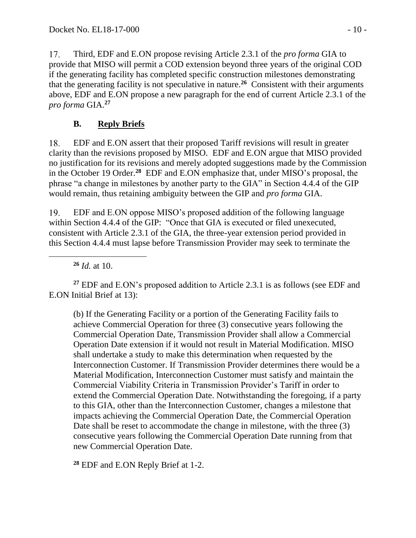17. Third, EDF and E.ON propose revising Article 2.3.1 of the *pro forma* GIA to provide that MISO will permit a COD extension beyond three years of the original COD if the generating facility has completed specific construction milestones demonstrating that the generating facility is not speculative in nature.**<sup>26</sup>** Consistent with their arguments above, EDF and E.ON propose a new paragraph for the end of current Article 2.3.1 of the *pro forma* GIA.**<sup>27</sup>**

## **B. Reply Briefs**

18. EDF and E.ON assert that their proposed Tariff revisions will result in greater clarity than the revisions proposed by MISO. EDF and E.ON argue that MISO provided no justification for its revisions and merely adopted suggestions made by the Commission in the October 19 Order.**<sup>28</sup>** EDF and E.ON emphasize that, under MISO's proposal, the phrase "a change in milestones by another party to the GIA" in Section 4.4.4 of the GIP would remain, thus retaining ambiguity between the GIP and *pro forma* GIA.

19. EDF and E.ON oppose MISO's proposed addition of the following language within Section 4.4.4 of the GIP: "Once that GIA is executed or filed unexecuted, consistent with Article 2.3.1 of the GIA, the three-year extension period provided in this Section 4.4.4 must lapse before Transmission Provider may seek to terminate the

**<sup>26</sup>** *Id.* at 10.

**<sup>27</sup>** EDF and E.ON's proposed addition to Article 2.3.1 is as follows (see EDF and E.ON Initial Brief at 13):

(b) If the Generating Facility or a portion of the Generating Facility fails to achieve Commercial Operation for three (3) consecutive years following the Commercial Operation Date, Transmission Provider shall allow a Commercial Operation Date extension if it would not result in Material Modification. MISO shall undertake a study to make this determination when requested by the Interconnection Customer. If Transmission Provider determines there would be a Material Modification, Interconnection Customer must satisfy and maintain the Commercial Viability Criteria in Transmission Provider's Tariff in order to extend the Commercial Operation Date. Notwithstanding the foregoing, if a party to this GIA, other than the Interconnection Customer, changes a milestone that impacts achieving the Commercial Operation Date, the Commercial Operation Date shall be reset to accommodate the change in milestone, with the three (3) consecutive years following the Commercial Operation Date running from that new Commercial Operation Date.

**<sup>28</sup>** EDF and E.ON Reply Brief at 1-2.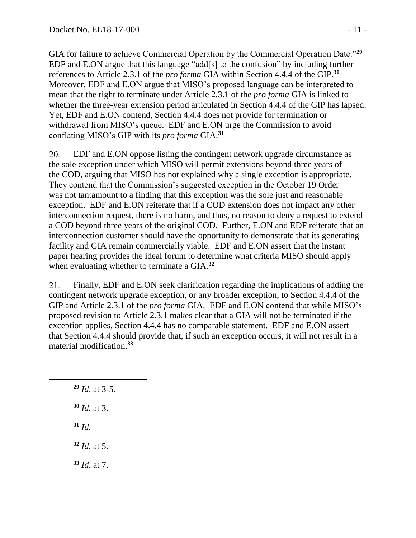GIA for failure to achieve Commercial Operation by the Commercial Operation Date."**<sup>29</sup>** EDF and E.ON argue that this language "add[s] to the confusion" by including further references to Article 2.3.1 of the *pro forma* GIA within Section 4.4.4 of the GIP.**<sup>30</sup>** Moreover, EDF and E.ON argue that MISO's proposed language can be interpreted to mean that the right to terminate under Article 2.3.1 of the *pro forma* GIA is linked to whether the three-year extension period articulated in Section 4.4.4 of the GIP has lapsed. Yet, EDF and E.ON contend, Section 4.4.4 does not provide for termination or withdrawal from MISO's queue. EDF and E.ON urge the Commission to avoid conflating MISO's GIP with its *pro forma* GIA.**<sup>31</sup>**

20. EDF and E.ON oppose listing the contingent network upgrade circumstance as the sole exception under which MISO will permit extensions beyond three years of the COD, arguing that MISO has not explained why a single exception is appropriate. They contend that the Commission's suggested exception in the October 19 Order was not tantamount to a finding that this exception was the sole just and reasonable exception. EDF and E.ON reiterate that if a COD extension does not impact any other interconnection request, there is no harm, and thus, no reason to deny a request to extend a COD beyond three years of the original COD. Further, E.ON and EDF reiterate that an interconnection customer should have the opportunity to demonstrate that its generating facility and GIA remain commercially viable. EDF and E.ON assert that the instant paper hearing provides the ideal forum to determine what criteria MISO should apply when evaluating whether to terminate a GIA.**<sup>32</sup>**

Finally, EDF and E.ON seek clarification regarding the implications of adding the 21. contingent network upgrade exception, or any broader exception, to Section 4.4.4 of the GIP and Article 2.3.1 of the *pro forma* GIA. EDF and E.ON contend that while MISO's proposed revision to Article 2.3.1 makes clear that a GIA will not be terminated if the exception applies, Section 4.4.4 has no comparable statement. EDF and E.ON assert that Section 4.4.4 should provide that, if such an exception occurs, it will not result in a material modification.**<sup>33</sup>**

 *Id*. at 3-5. *Id.* at 3. **<sup>31</sup>** *Id. Id.* at 5. *Id.* at 7.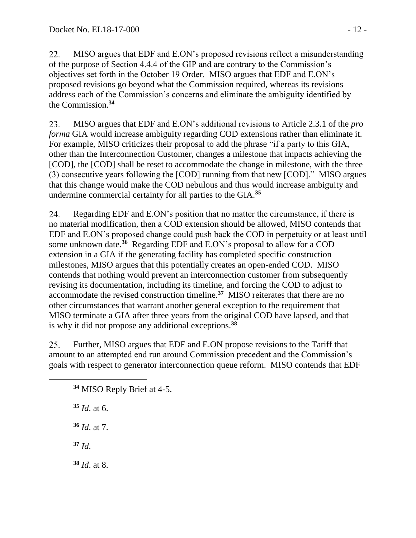22. MISO argues that EDF and E.ON's proposed revisions reflect a misunderstanding of the purpose of Section 4.4.4 of the GIP and are contrary to the Commission's objectives set forth in the October 19 Order. MISO argues that EDF and E.ON's proposed revisions go beyond what the Commission required, whereas its revisions address each of the Commission's concerns and eliminate the ambiguity identified by the Commission.**<sup>34</sup>**

23. MISO argues that EDF and E.ON's additional revisions to Article 2.3.1 of the *pro forma* GIA would increase ambiguity regarding COD extensions rather than eliminate it. For example, MISO criticizes their proposal to add the phrase "if a party to this GIA, other than the Interconnection Customer, changes a milestone that impacts achieving the [COD], the [COD] shall be reset to accommodate the change in milestone, with the three (3) consecutive years following the [COD] running from that new [COD]." MISO argues that this change would make the COD nebulous and thus would increase ambiguity and undermine commercial certainty for all parties to the GIA.**<sup>35</sup>**

24. Regarding EDF and E.ON's position that no matter the circumstance, if there is no material modification, then a COD extension should be allowed, MISO contends that EDF and E.ON's proposed change could push back the COD in perpetuity or at least until some unknown date.<sup>36</sup> Regarding EDF and E.ON's proposal to allow for a COD extension in a GIA if the generating facility has completed specific construction milestones, MISO argues that this potentially creates an open-ended COD. MISO contends that nothing would prevent an interconnection customer from subsequently revising its documentation, including its timeline, and forcing the COD to adjust to accommodate the revised construction timeline.**<sup>37</sup>** MISO reiterates that there are no other circumstances that warrant another general exception to the requirement that MISO terminate a GIA after three years from the original COD have lapsed, and that is why it did not propose any additional exceptions.**<sup>38</sup>**

25. Further, MISO argues that EDF and E.ON propose revisions to the Tariff that amount to an attempted end run around Commission precedent and the Commission's goals with respect to generator interconnection queue reform. MISO contends that EDF

**<sup>35</sup>** *Id*. at 6.

 $\overline{a}$ 

**<sup>36</sup>** *Id*. at 7.

**<sup>37</sup>** *Id*.

**<sup>38</sup>** *Id*. at 8.

**<sup>34</sup>** MISO Reply Brief at 4-5.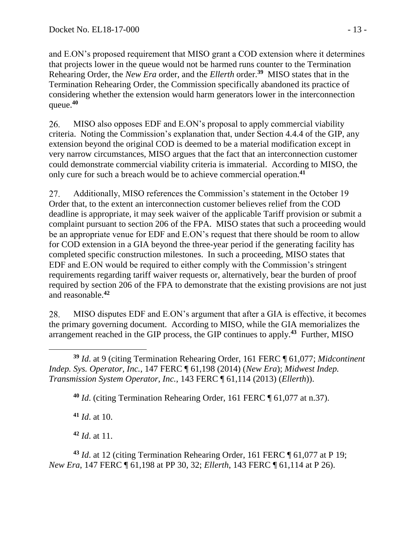and E.ON's proposed requirement that MISO grant a COD extension where it determines that projects lower in the queue would not be harmed runs counter to the Termination Rehearing Order, the *New Era* order, and the *Ellerth* order.**<sup>39</sup>** MISO states that in the Termination Rehearing Order, the Commission specifically abandoned its practice of considering whether the extension would harm generators lower in the interconnection queue.**<sup>40</sup>**

MISO also opposes EDF and E.ON's proposal to apply commercial viability 26. criteria. Noting the Commission's explanation that, under Section 4.4.4 of the GIP, any extension beyond the original COD is deemed to be a material modification except in very narrow circumstances, MISO argues that the fact that an interconnection customer could demonstrate commercial viability criteria is immaterial. According to MISO, the only cure for such a breach would be to achieve commercial operation.**<sup>41</sup>**

27. Additionally, MISO references the Commission's statement in the October 19 Order that, to the extent an interconnection customer believes relief from the COD deadline is appropriate, it may seek waiver of the applicable Tariff provision or submit a complaint pursuant to section 206 of the FPA. MISO states that such a proceeding would be an appropriate venue for EDF and E.ON's request that there should be room to allow for COD extension in a GIA beyond the three-year period if the generating facility has completed specific construction milestones. In such a proceeding, MISO states that EDF and E.ON would be required to either comply with the Commission's stringent requirements regarding tariff waiver requests or, alternatively, bear the burden of proof required by section 206 of the FPA to demonstrate that the existing provisions are not just and reasonable.**<sup>42</sup>**

MISO disputes EDF and E.ON's argument that after a GIA is effective, it becomes 28. the primary governing document. According to MISO, while the GIA memorializes the arrangement reached in the GIP process, the GIP continues to apply.**<sup>43</sup>** Further, MISO

 $\overline{a}$ **<sup>39</sup>** *Id*. at 9 (citing Termination Rehearing Order, 161 FERC ¶ 61,077; *Midcontinent Indep. Sys. Operator, Inc.*, 147 FERC ¶ 61,198 (2014) (*New Era*); *Midwest Indep. Transmission System Operator, Inc.*, 143 FERC ¶ 61,114 (2013) (*Ellerth*)).

**<sup>40</sup>** *Id*. (citing Termination Rehearing Order, 161 FERC ¶ 61,077 at n.37).

**<sup>41</sup>** *Id*. at 10.

**<sup>42</sup>** *Id*. at 11.

**<sup>43</sup>** *Id*. at 12 (citing Termination Rehearing Order, 161 FERC ¶ 61,077 at P 19; *New Era*, 147 FERC ¶ 61,198 at PP 30, 32; *Ellerth*, 143 FERC ¶ 61,114 at P 26).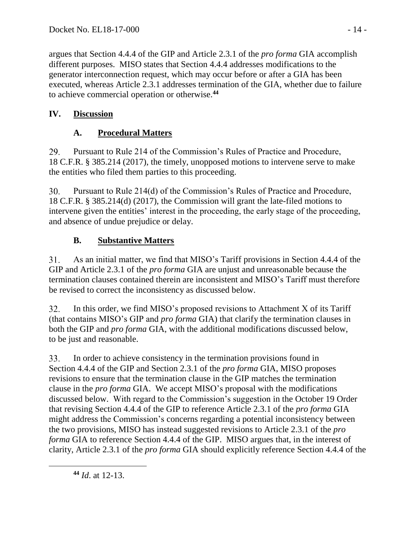argues that Section 4.4.4 of the GIP and Article 2.3.1 of the *pro forma* GIA accomplish different purposes. MISO states that Section 4.4.4 addresses modifications to the generator interconnection request, which may occur before or after a GIA has been executed, whereas Article 2.3.1 addresses termination of the GIA, whether due to failure to achieve commercial operation or otherwise. **44**

## **IV. Discussion**

## **A. Procedural Matters**

29. Pursuant to Rule 214 of the Commission's Rules of Practice and Procedure, 18 C.F.R. § 385.214 (2017), the timely, unopposed motions to intervene serve to make the entities who filed them parties to this proceeding.

30. Pursuant to Rule 214(d) of the Commission's Rules of Practice and Procedure, 18 C.F.R. § 385.214(d) (2017), the Commission will grant the late-filed motions to intervene given the entities' interest in the proceeding, the early stage of the proceeding, and absence of undue prejudice or delay.

# **B. Substantive Matters**

31. As an initial matter, we find that MISO's Tariff provisions in Section 4.4.4 of the GIP and Article 2.3.1 of the *pro forma* GIA are unjust and unreasonable because the termination clauses contained therein are inconsistent and MISO's Tariff must therefore be revised to correct the inconsistency as discussed below.

32. In this order, we find MISO's proposed revisions to Attachment X of its Tariff (that contains MISO's GIP and *pro forma* GIA) that clarify the termination clauses in both the GIP and *pro forma* GIA, with the additional modifications discussed below, to be just and reasonable.

33. In order to achieve consistency in the termination provisions found in Section 4.4.4 of the GIP and Section 2.3.1 of the *pro forma* GIA, MISO proposes revisions to ensure that the termination clause in the GIP matches the termination clause in the *pro forma* GIA. We accept MISO's proposal with the modifications discussed below. With regard to the Commission's suggestion in the October 19 Order that revising Section 4.4.4 of the GIP to reference Article 2.3.1 of the *pro forma* GIA might address the Commission's concerns regarding a potential inconsistency between the two provisions, MISO has instead suggested revisions to Article 2.3.1 of the *pro forma* GIA to reference Section 4.4.4 of the GIP. MISO argues that, in the interest of clarity, Article 2.3.1 of the *pro forma* GIA should explicitly reference Section 4.4.4 of the

**<sup>44</sup>** *Id*. at 12-13.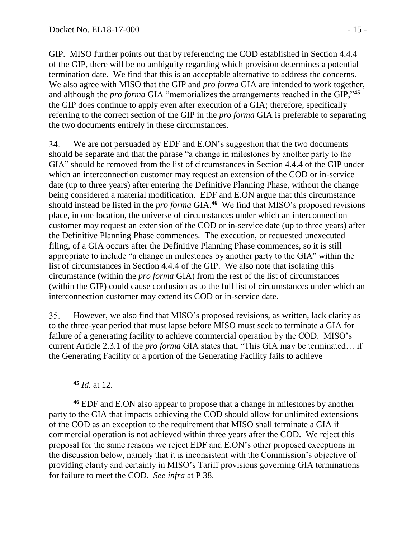GIP. MISO further points out that by referencing the COD established in Section 4.4.4 of the GIP, there will be no ambiguity regarding which provision determines a potential termination date. We find that this is an acceptable alternative to address the concerns. We also agree with MISO that the GIP and *pro forma* GIA are intended to work together, and although the *pro forma* GIA "memorializes the arrangements reached in the GIP,"**<sup>45</sup>** the GIP does continue to apply even after execution of a GIA; therefore, specifically referring to the correct section of the GIP in the *pro forma* GIA is preferable to separating the two documents entirely in these circumstances.

34. We are not persuaded by EDF and E.ON's suggestion that the two documents should be separate and that the phrase "a change in milestones by another party to the GIA" should be removed from the list of circumstances in Section 4.4.4 of the GIP under which an interconnection customer may request an extension of the COD or in-service date (up to three years) after entering the Definitive Planning Phase, without the change being considered a material modification. EDF and E.ON argue that this circumstance should instead be listed in the *pro forma* GIA.**<sup>46</sup>** We find that MISO's proposed revisions place, in one location, the universe of circumstances under which an interconnection customer may request an extension of the COD or in-service date (up to three years) after the Definitive Planning Phase commences. The execution, or requested unexecuted filing, of a GIA occurs after the Definitive Planning Phase commences, so it is still appropriate to include "a change in milestones by another party to the GIA" within the list of circumstances in Section 4.4.4 of the GIP. We also note that isolating this circumstance (within the *pro forma* GIA) from the rest of the list of circumstances (within the GIP) could cause confusion as to the full list of circumstances under which an interconnection customer may extend its COD or in-service date.

However, we also find that MISO's proposed revisions, as written, lack clarity as 35. to the three-year period that must lapse before MISO must seek to terminate a GIA for failure of a generating facility to achieve commercial operation by the COD. MISO's current Article 2.3.1 of the *pro forma* GIA states that, "This GIA may be terminated… if the Generating Facility or a portion of the Generating Facility fails to achieve

**<sup>45</sup>** *Id.* at 12.

 $\overline{a}$ 

**<sup>46</sup>** EDF and E.ON also appear to propose that a change in milestones by another party to the GIA that impacts achieving the COD should allow for unlimited extensions of the COD as an exception to the requirement that MISO shall terminate a GIA if commercial operation is not achieved within three years after the COD. We reject this proposal for the same reasons we reject EDF and E.ON's other proposed exceptions in the discussion below, namely that it is inconsistent with the Commission's objective of providing clarity and certainty in MISO's Tariff provisions governing GIA terminations for failure to meet the COD. *See infra* at P 38.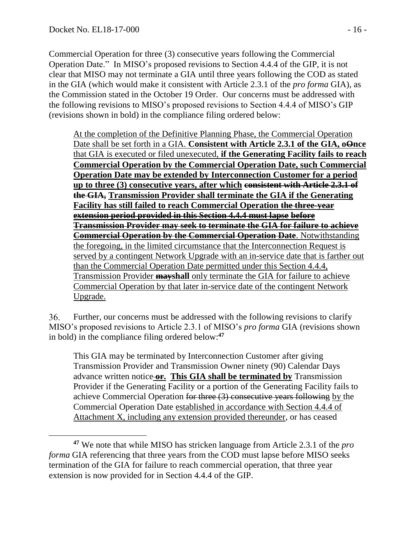$\overline{a}$ 

Commercial Operation for three (3) consecutive years following the Commercial Operation Date." In MISO's proposed revisions to Section 4.4.4 of the GIP, it is not clear that MISO may not terminate a GIA until three years following the COD as stated in the GIA (which would make it consistent with Article 2.3.1 of the *pro forma* GIA), as the Commission stated in the October 19 Order. Our concerns must be addressed with the following revisions to MISO's proposed revisions to Section 4.4.4 of MISO's GIP (revisions shown in bold) in the compliance filing ordered below:

At the completion of the Definitive Planning Phase, the Commercial Operation Date shall be set forth in a GIA. **Consistent with Article 2.3.1 of the GIA, o-Once** that GIA is executed or filed unexecuted, **if the Generating Facility fails to reach Commercial Operation by the Commercial Operation Date, such Commercial Operation Date may be extended by Interconnection Customer for a period up to three (3) consecutive years, after which consistent with Article 2.3.1 of the GIA, Transmission Provider shall terminate the GIA if the Generating Facility has still failed to reach Commercial Operation the three-year extension period provided in this Section 4.4.4 must lapse before Transmission Provider may seek to terminate the GIA for failure to achieve Commercial Operation by the Commercial Operation Date**. Notwithstanding the foregoing, in the limited circumstance that the Interconnection Request is served by a contingent Network Upgrade with an in-service date that is farther out than the Commercial Operation Date permitted under this Section 4.4.4, Transmission Provider **mayshall** only terminate the GIA for failure to achieve Commercial Operation by that later in-service date of the contingent Network Upgrade.

36. Further, our concerns must be addressed with the following revisions to clarify MISO's proposed revisions to Article 2.3.1 of MISO's *pro forma* GIA (revisions shown in bold) in the compliance filing ordered below: **47**

This GIA may be terminated by Interconnection Customer after giving Transmission Provider and Transmission Owner ninety (90) Calendar Days advance written notice **or. This GIA shall be terminated by** Transmission Provider if the Generating Facility or a portion of the Generating Facility fails to achieve Commercial Operation for three (3) consecutive years following by the Commercial Operation Date established in accordance with Section 4.4.4 of Attachment X, including any extension provided thereunder, or has ceased

**<sup>47</sup>** We note that while MISO has stricken language from Article 2.3.1 of the *pro forma* GIA referencing that three years from the COD must lapse before MISO seeks termination of the GIA for failure to reach commercial operation, that three year extension is now provided for in Section 4.4.4 of the GIP.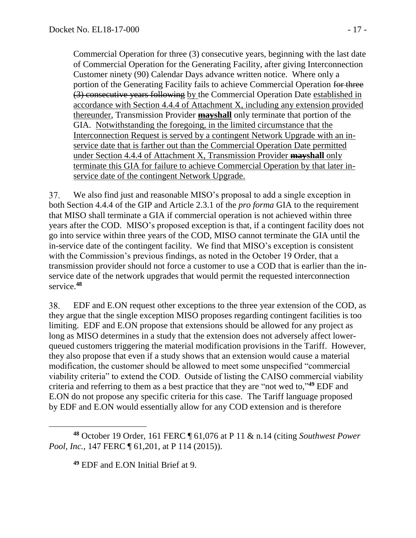Commercial Operation for three (3) consecutive years, beginning with the last date of Commercial Operation for the Generating Facility, after giving Interconnection Customer ninety (90) Calendar Days advance written notice. Where only a portion of the Generating Facility fails to achieve Commercial Operation for three (3) consecutive years following by the Commercial Operation Date established in accordance with Section 4.4.4 of Attachment X, including any extension provided thereunder, Transmission Provider **mayshall** only terminate that portion of the GIA. Notwithstanding the foregoing, in the limited circumstance that the Interconnection Request is served by a contingent Network Upgrade with an inservice date that is farther out than the Commercial Operation Date permitted under Section 4.4.4 of Attachment X, Transmission Provider **mayshall** only terminate this GIA for failure to achieve Commercial Operation by that later inservice date of the contingent Network Upgrade.

37. We also find just and reasonable MISO's proposal to add a single exception in both Section 4.4.4 of the GIP and Article 2.3.1 of the *pro forma* GIA to the requirement that MISO shall terminate a GIA if commercial operation is not achieved within three years after the COD. MISO's proposed exception is that, if a contingent facility does not go into service within three years of the COD, MISO cannot terminate the GIA until the in-service date of the contingent facility. We find that MISO's exception is consistent with the Commission's previous findings, as noted in the October 19 Order, that a transmission provider should not force a customer to use a COD that is earlier than the inservice date of the network upgrades that would permit the requested interconnection service.**<sup>48</sup>**

38. EDF and E.ON request other exceptions to the three year extension of the COD, as they argue that the single exception MISO proposes regarding contingent facilities is too limiting. EDF and E.ON propose that extensions should be allowed for any project as long as MISO determines in a study that the extension does not adversely affect lowerqueued customers triggering the material modification provisions in the Tariff. However, they also propose that even if a study shows that an extension would cause a material modification, the customer should be allowed to meet some unspecified "commercial viability criteria" to extend the COD. Outside of listing the CAISO commercial viability criteria and referring to them as a best practice that they are "not wed to," **<sup>49</sup>** EDF and E.ON do not propose any specific criteria for this case. The Tariff language proposed by EDF and E.ON would essentially allow for any COD extension and is therefore

**<sup>49</sup>** EDF and E.ON Initial Brief at 9.

**<sup>48</sup>** October 19 Order, 161 FERC ¶ 61,076 at P 11 & n.14 (citing *Southwest Power Pool, Inc., 147 FERC* **[61,201, at P 114 (2015)).**